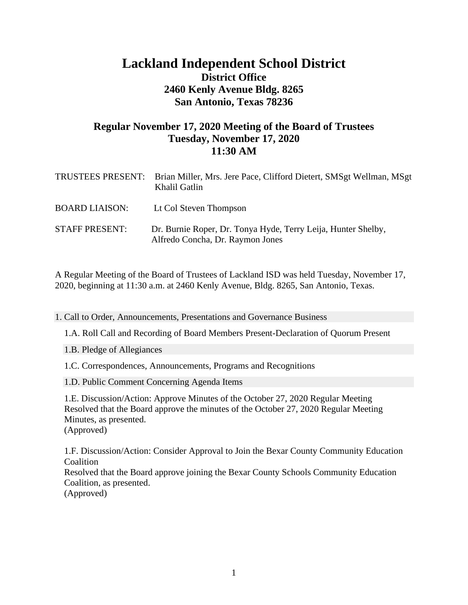# **Lackland Independent School District District Office 2460 Kenly Avenue Bldg. 8265 San Antonio, Texas 78236**

## **Regular November 17, 2020 Meeting of the Board of Trustees Tuesday, November 17, 2020 11:30 AM**

| TRUSTEES PRESENT:     | Brian Miller, Mrs. Jere Pace, Clifford Dietert, SMSgt Wellman, MSgt<br>Khalil Gatlin              |
|-----------------------|---------------------------------------------------------------------------------------------------|
| <b>BOARD LIAISON:</b> | Lt Col Steven Thompson                                                                            |
| <b>STAFF PRESENT:</b> | Dr. Burnie Roper, Dr. Tonya Hyde, Terry Leija, Hunter Shelby,<br>Alfredo Concha, Dr. Raymon Jones |

A Regular Meeting of the Board of Trustees of Lackland ISD was held Tuesday, November 17, 2020, beginning at 11:30 a.m. at 2460 Kenly Avenue, Bldg. 8265, San Antonio, Texas.

1. Call to Order, Announcements, Presentations and Governance Business

1.A. Roll Call and Recording of Board Members Present-Declaration of Quorum Present

1.B. Pledge of Allegiances

1.C. Correspondences, Announcements, Programs and Recognitions

1.D. Public Comment Concerning Agenda Items

 1.E. Discussion/Action: Approve Minutes of the October 27, 2020 Regular Meeting Resolved that the Board approve the minutes of the October 27, 2020 Regular Meeting Minutes, as presented. (Approved)

 1.F. Discussion/Action: Consider Approval to Join the Bexar County Community Education **Coalition**  Resolved that the Board approve joining the Bexar County Schools Community Education Coalition, as presented. (Approved)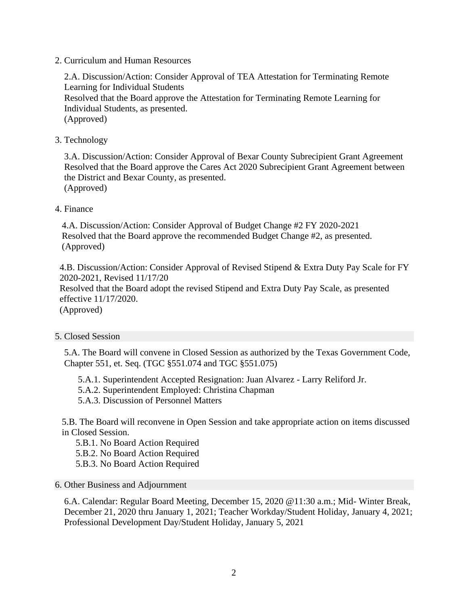2. Curriculum and Human Resources

 2.A. Discussion/Action: Consider Approval of TEA Attestation for Terminating Remote Learning for Individual Students Resolved that the Board approve the Attestation for Terminating Remote Learning for Individual Students, as presented. (Approved)

3. Technology

 3.A. Discussion/Action: Consider Approval of Bexar County Subrecipient Grant Agreement Resolved that the Board approve the Cares Act 2020 Subrecipient Grant Agreement between the District and Bexar County, as presented. (Approved)

### 4. Finance

 4.A. Discussion/Action: Consider Approval of Budget Change #2 FY 2020-2021 Resolved that the Board approve the recommended Budget Change #2, as presented. (Approved)

 4.B. Discussion/Action: Consider Approval of Revised Stipend & Extra Duty Pay Scale for FY 2020-2021, Revised 11/17/20

 Resolved that the Board adopt the revised Stipend and Extra Duty Pay Scale, as presented effective 11/17/2020.

(Approved)

### 5. Closed Session

5.A. The Board will convene in Closed Session as authorized by the Texas Government Code, Chapter 551, et. Seq. (TGC §551.074 and TGC §551.075)

5.A.1. Superintendent Accepted Resignation: Juan Alvarez - Larry Reliford Jr.

5.A.2. Superintendent Employed: Christina Chapman

5.A.3. Discussion of Personnel Matters

 5.B. The Board will reconvene in Open Session and take appropriate action on items discussed in Closed Session.

- 5.B.1. No Board Action Required
- 5.B.2. No Board Action Required
- 5.B.3. No Board Action Required

### 6. Other Business and Adjournment

6.A. Calendar: Regular Board Meeting, December 15, 2020 @11:30 a.m.; Mid- Winter Break, December 21, 2020 thru January 1, 2021; Teacher Workday/Student Holiday, January 4, 2021; Professional Development Day/Student Holiday, January 5, 2021